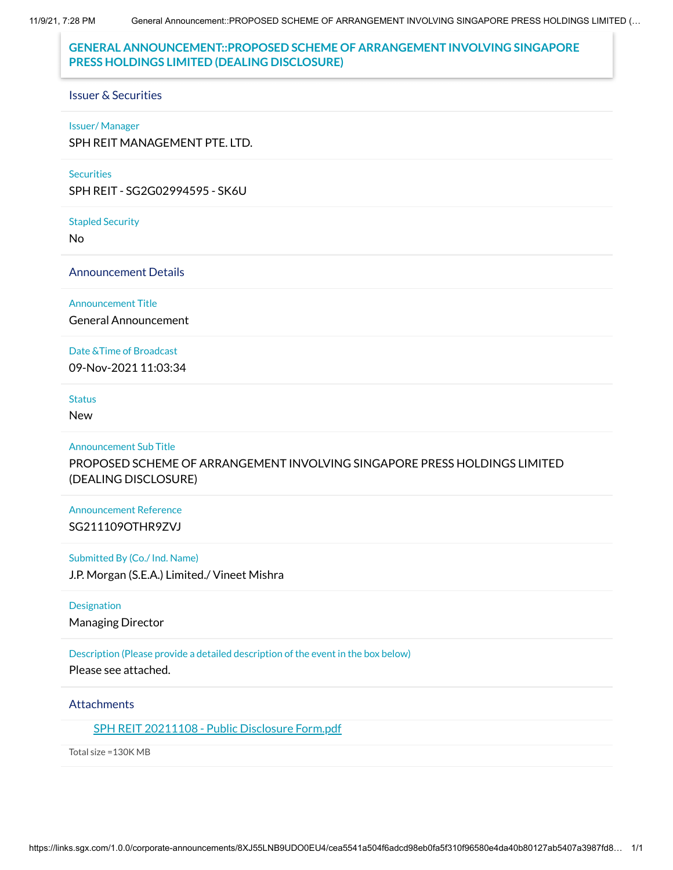# **GENERAL ANNOUNCEMENT::PROPOSED SCHEME OF ARRANGEMENT INVOLVING SINGAPORE PRESS HOLDINGS LIMITED (DEALING DISCLOSURE)**

#### Issuer & Securities

#### Issuer/ Manager

SPH REIT MANAGEMENT PTE. LTD.

#### **Securities**

SPH REIT - SG2G02994595 - SK6U

Stapled Security

No

### Announcement Details

#### Announcement Title

General Announcement

#### Date &Time of Broadcast

09-Nov-2021 11:03:34

## **Status**

New

### Announcement Sub Title

PROPOSED SCHEME OF ARRANGEMENT INVOLVING SINGAPORE PRESS HOLDINGS LIMITED (DEALING DISCLOSURE)

## Announcement Reference SG211109OTHR9ZVJ

### Submitted By (Co./ Ind. Name)

J.P. Morgan (S.E.A.) Limited./ Vineet Mishra

#### **Designation**

Managing Director

## Description (Please provide a detailed description of the event in the box below)

Please see attached.

### **Attachments**

### SPH REIT [20211108](https://links.sgx.com/1.0.0/corporate-announcements/8XJ55LNB9UDO0EU4/689894_SPH%20REIT%2020211108%20-%20Public%20Disclosure%20Form.pdf) - Public Disclosure Form.pdf

Total size =130K MB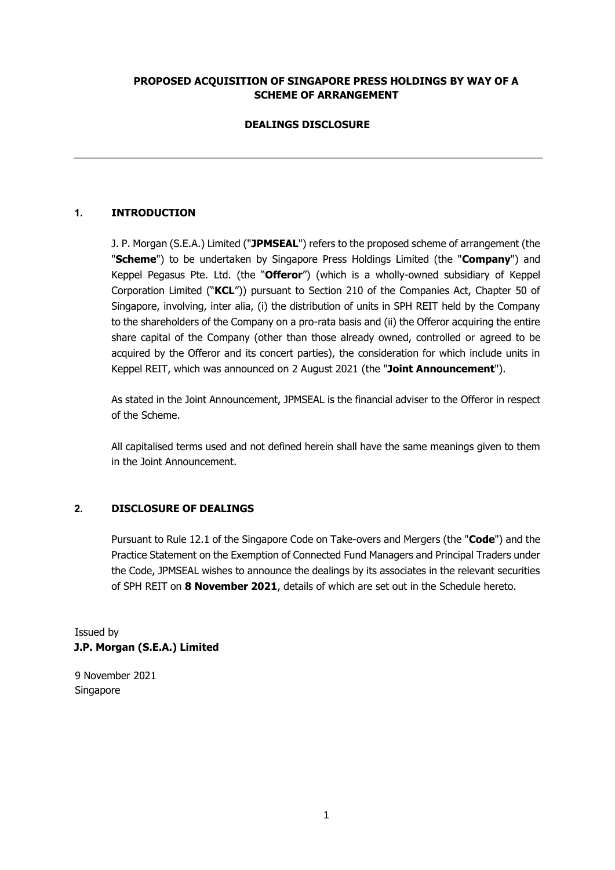## **PROPOSED ACQUISITION OF SINGAPORE PRESS HOLDINGS BY WAY OF A SCHEME OF ARRANGEMENT**

## **DEALINGS DISCLOSURE**

## **1. INTRODUCTION**

J. P. Morgan (S.E.A.) Limited ("**JPMSEAL**") refers to the proposed scheme of arrangement (the "**Scheme**") to be undertaken by Singapore Press Holdings Limited (the "**Company**") and Keppel Pegasus Pte. Ltd. (the "**Offeror**") (which is a wholly-owned subsidiary of Keppel Corporation Limited ("**KCL**")) pursuant to Section 210 of the Companies Act, Chapter 50 of Singapore, involving, inter alia, (i) the distribution of units in SPH REIT held by the Company to the shareholders of the Company on a pro-rata basis and (ii) the Offeror acquiring the entire share capital of the Company (other than those already owned, controlled or agreed to be acquired by the Offeror and its concert parties), the consideration for which include units in Keppel REIT, which was announced on 2 August 2021 (the "**Joint Announcement**").

As stated in the Joint Announcement, JPMSEAL is the financial adviser to the Offeror in respect of the Scheme.

All capitalised terms used and not defined herein shall have the same meanings given to them in the Joint Announcement.

## **2. DISCLOSURE OF DEALINGS**

Pursuant to Rule 12.1 of the Singapore Code on Take-overs and Mergers (the "**Code**") and the Practice Statement on the Exemption of Connected Fund Managers and Principal Traders under the Code, JPMSEAL wishes to announce the dealings by its associates in the relevant securities of SPH REIT on **8 November 2021**, details of which are set out in the Schedule hereto.

Issued by **J.P. Morgan (S.E.A.) Limited** 

9 November 2021 Singapore